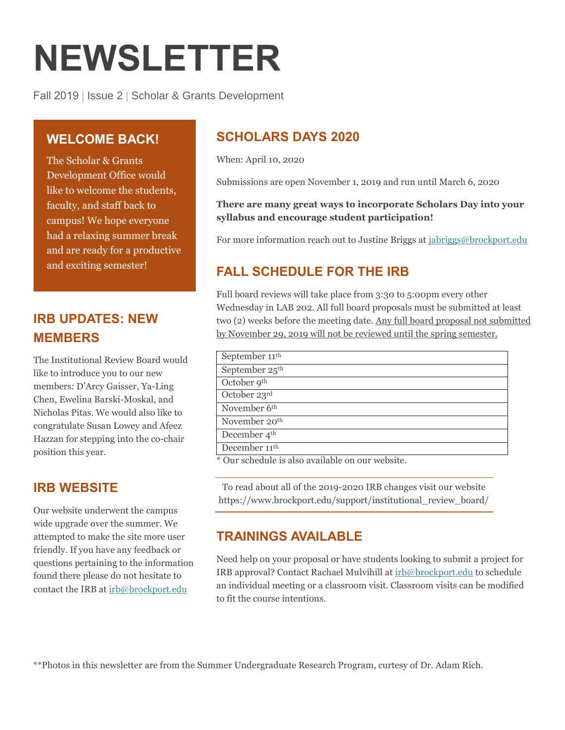# **NEWSLETTER**

Fall 2019 | Issue 2 | Scholar & Grants Development

## **WELCOME BACK!**

 had a relaxing summer break The Scholar & Grants Development Office would like to welcome the students, faculty, and staff back to campus! We hope everyone and are ready for a productive and exciting semester!

## **IRB UPDATES: NEW MEMBERS**

## **IRB WEBSITE**

Our website underwent the campus wide upgrade over the summer. We attempted to make the site more user friendly. If you have any feedback or questions pertaining to the information found there please do not hesitate to contact the IRB at [irb@brockport.edu](mailto:irb@brockport.edu)

# **SCHOLARS DAYS 2020**

When: April 10, 2020

Submissions are open November 1, 2019 and run until March 6, 2020

#### **There are many great ways to incorporate Scholars Day into your syllabus and encourage student participation!**

For more information reach out to Justine Briggs at [jabriggs@brockport.edu](mailto:jabriggs@brockport.edu)

## **FALL SCHEDULE FOR THE IRB**

two (2) weeks before the meeting date. <u>Any full board proposal not submitted</u> by November 29, 2019 will not be reviewed until the spring semester. Full board reviews will take place from 3:30 to 5:00pm every other Wednesday in LAB 202. All full board proposals must be submitted at least

| The Institutional Review Board would  | September 11 <sup>th</sup>                       |
|---------------------------------------|--------------------------------------------------|
| like to introduce you to our new      | September 25 <sup>th</sup>                       |
| members: D'Arcy Gaisser, Ya-Ling      | October 9 <sup>th</sup>                          |
| Chen, Ewelina Barski-Moskal, and      | October 23rd                                     |
| Nicholas Pitas. We would also like to | November 6 <sup>th</sup>                         |
| congratulate Susan Lowey and Afeez    | November 20 <sup>th</sup>                        |
| Hazzan for stepping into the co-chair | December 4 <sup>th</sup>                         |
| position this year.                   | December 11 <sup>th</sup>                        |
|                                       | * Our schedule is also available on our website. |

To read about all of the 2019-2020 IRB changes visit our website [https://www.brockport.edu/support/institutional\\_review\\_board](https://www.brockport.edu/support/institutional_review_board)/

## **TRAININGS AVAILABLE**

Need help on your proposal or have students looking to submit a project for IRB approval? Contact Rachael Mulvihill at [irb@brockport.edu](mailto:irb@brockport.edu) to schedule an individual meeting or a classroom visit. Classroom visits can be modified to fit the course intentions.

\*\*Photos in this newsletter are from the Summer Undergraduate Research Program, curtesy of Dr. Adam Rich.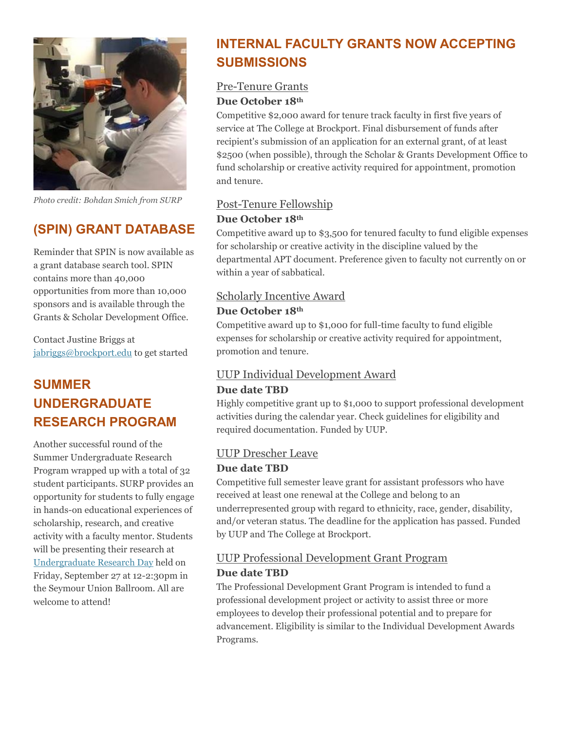

*Photo credit: Bohdan Smich from SURP*

# **(SPIN) GRANT DATABASE**

Reminder that SPIN is now available as a grant database search tool. SPIN contains more than 40,000 opportunities from more than 10,000 sponsors and is available through the Grants & Scholar Development Office.

Contact Justine Briggs at [jabriggs@brockport.edu](mailto:jabriggs@brockport.edu) to get started

# **SUMMER UNDERGRADUATE RESEARCH PROGRAM**

Another successful round of the Summer Undergraduate Research Program wrapped up with a total of 32 student participants. SURP provides an opportunity for students to fully engage in hands-on educational experiences of scholarship, research, and creative activity with a faculty mentor. Students will be presenting their research at [Undergraduate Research Day](https://www.brockport.edu/academics/engaged_learning/summer_undergraduate_research_program.html) held on Friday, September 27 at 12-2:30pm in the Seymour Union Ballroom. All are welcome to attend!

# **INTERNAL FACULTY GRANTS NOW ACCEPTING SUBMISSIONS**

#### Pre-Tenure Grants

#### **Due October 18th**

Competitive \$2,000 award for tenure track faculty in first five years of service at The College at Brockport. Final disbursement of funds after recipient's submission of an application for an external grant, of at least \$2500 (when possible), through the Scholar & Grants Development Office to fund scholarship or creative activity required for appointment, promotion and tenure.

#### Post-Tenure Fellowship

#### **Due October 18th**

Competitive award up to \$3,500 for tenured faculty to fund eligible expenses for scholarship or creative activity in the discipline valued by the departmental APT document. Preference given to faculty not currently on or within a year of sabbatical.

### Scholarly Incentive Award

#### **Due October 18th**

Competitive award up to \$1,000 for full-time faculty to fund eligible expenses for scholarship or creative activity required for appointment, promotion and tenure.

#### UUP Individual Development Award

#### **Due date TBD**

 activities during the calendar year. Check guidelines for eligibility and Highly competitive grant up to \$1,000 to support professional development required documentation. Funded by UUP.

#### UUP Drescher Leave

#### **Due date TBD**

Competitive full semester leave grant for assistant professors who have received at least one renewal at the College and belong to an underrepresented group with regard to ethnicity, race, gender, disability, and/or veteran status. The deadline for the application has passed. Funded by UUP and The College at Brockport.

## **Due date TBD** UUP Professional Development Grant Program

The Professional Development Grant Program is intended to fund a professional development project or activity to assist three or more employees to develop their professional potential and to prepare for advancement. Eligibility is similar to the Individual Development Awards Programs.